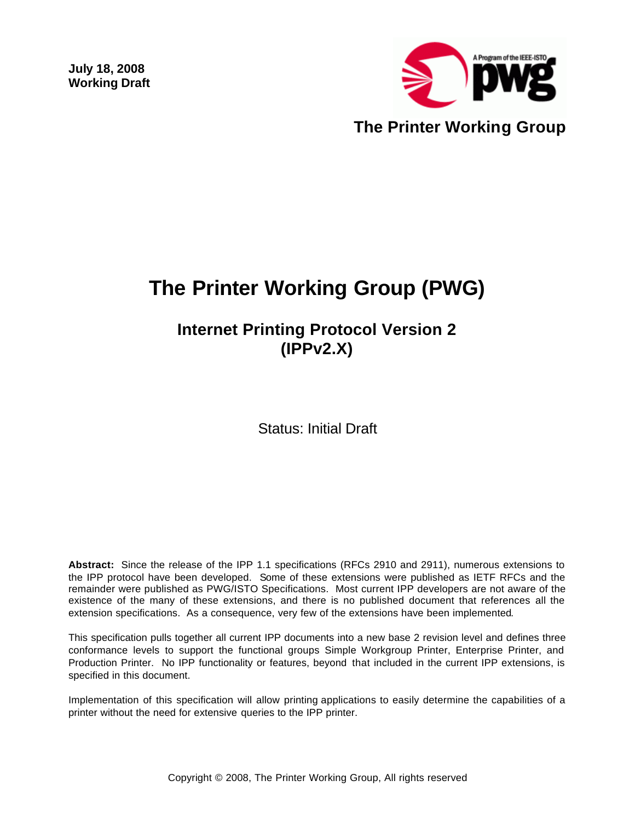**July 18, 2008 Working Draft** 



# **The Printer Working Group (PWG)**

## **Internet Printing Protocol Version 2 (IPPv2.X)**

Status: Initial Draft

**Abstract:** Since the release of the IPP 1.1 specifications (RFCs 2910 and 2911), numerous extensions to the IPP protocol have been developed. Some of these extensions were published as IETF RFCs and the remainder were published as PWG/ISTO Specifications. Most current IPP developers are not aware of the existence of the many of these extensions, and there is no published document that references all the extension specifications. As a consequence, very few of the extensions have been implemented.

This specification pulls together all current IPP documents into a new base 2 revision level and defines three conformance levels to support the functional groups Simple Workgroup Printer, Enterprise Printer, and Production Printer. No IPP functionality or features, beyond that included in the current IPP extensions, is specified in this document.

Implementation of this specification will allow printing applications to easily determine the capabilities of a printer without the need for extensive queries to the IPP printer.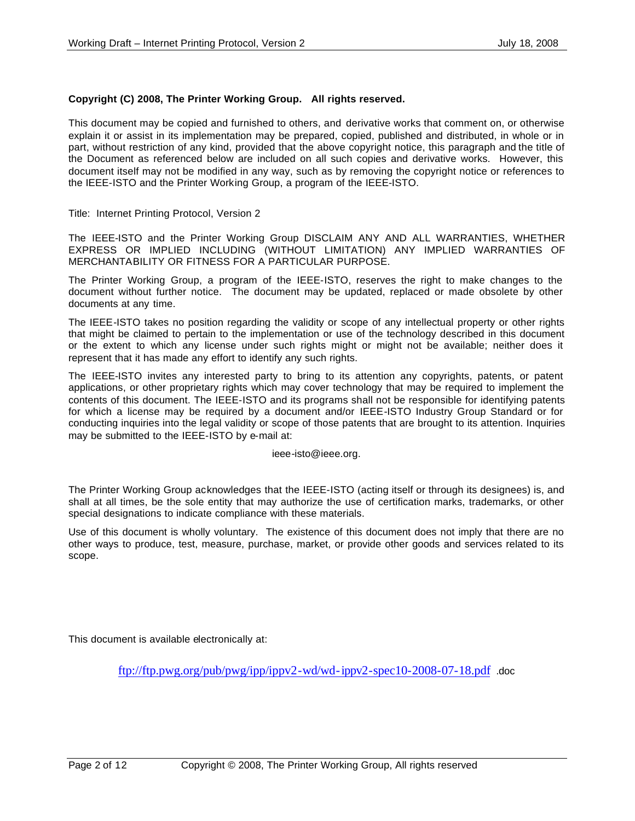### **Copyright (C) 2008, The Printer Working Group. All rights reserved.**

This document may be copied and furnished to others, and derivative works that comment on, or otherwise explain it or assist in its implementation may be prepared, copied, published and distributed, in whole or in part, without restriction of any kind, provided that the above copyright notice, this paragraph and the title of the Document as referenced below are included on all such copies and derivative works. However, this document itself may not be modified in any way, such as by removing the copyright notice or references to the IEEE-ISTO and the Printer Working Group, a program of the IEEE-ISTO.

Title: Internet Printing Protocol, Version 2

The IEEE-ISTO and the Printer Working Group DISCLAIM ANY AND ALL WARRANTIES, WHETHER EXPRESS OR IMPLIED INCLUDING (WITHOUT LIMITATION) ANY IMPLIED WARRANTIES OF MERCHANTABILITY OR FITNESS FOR A PARTICULAR PURPOSE.

The Printer Working Group, a program of the IEEE-ISTO, reserves the right to make changes to the document without further notice. The document may be updated, replaced or made obsolete by other documents at any time.

The IEEE-ISTO takes no position regarding the validity or scope of any intellectual property or other rights that might be claimed to pertain to the implementation or use of the technology described in this document or the extent to which any license under such rights might or might not be available; neither does it represent that it has made any effort to identify any such rights.

The IEEE-ISTO invites any interested party to bring to its attention any copyrights, patents, or patent applications, or other proprietary rights which may cover technology that may be required to implement the contents of this document. The IEEE-ISTO and its programs shall not be responsible for identifying patents for which a license may be required by a document and/or IEEE-ISTO Industry Group Standard or for conducting inquiries into the legal validity or scope of those patents that are brought to its attention. Inquiries may be submitted to the IEEE-ISTO by e-mail at:

ieee-isto@ieee.org.

The Printer Working Group acknowledges that the IEEE-ISTO (acting itself or through its designees) is, and shall at all times, be the sole entity that may authorize the use of certification marks, trademarks, or other special designations to indicate compliance with these materials.

Use of this document is wholly voluntary. The existence of this document does not imply that there are no other ways to produce, test, measure, purchase, market, or provide other goods and services related to its scope.

This document is available electronically at:

ftp://ftp.pwg.org/pub/pwg/ipp/ippv2-wd/wd-ippv2-spec10-2008-07-18.pdf .doc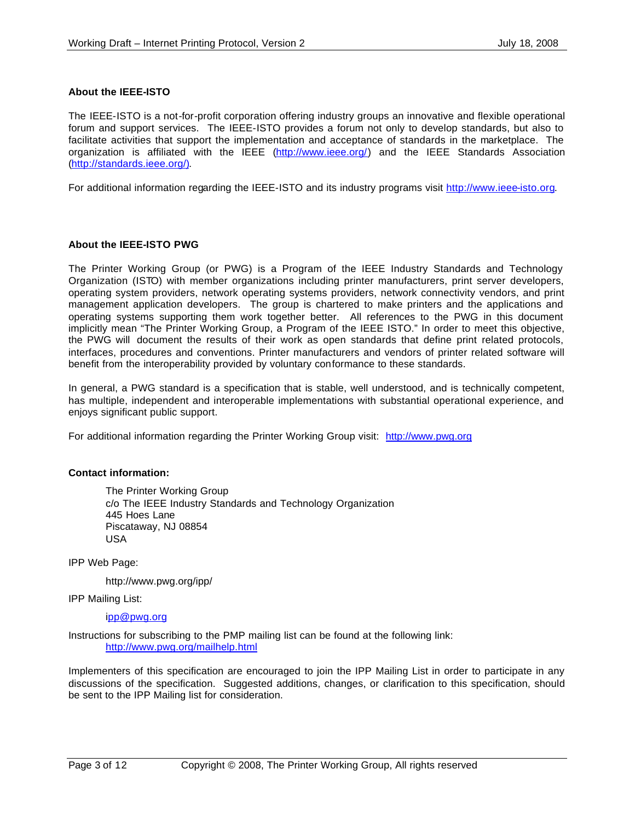### **About the IEEE-ISTO**

The IEEE-ISTO is a not-for-profit corporation offering industry groups an innovative and flexible operational forum and support services. The IEEE-ISTO provides a forum not only to develop standards, but also to facilitate activities that support the implementation and acceptance of standards in the marketplace. The organization is affiliated with the IEEE (http://www.ieee.org/) and the IEEE Standards Association (http://standards.ieee.org/).

For additional information regarding the IEEE-ISTO and its industry programs visit http://www.ieee-isto.org.

### **About the IEEE-ISTO PWG**

The Printer Working Group (or PWG) is a Program of the IEEE Industry Standards and Technology Organization (ISTO) with member organizations including printer manufacturers, print server developers, operating system providers, network operating systems providers, network connectivity vendors, and print management application developers. The group is chartered to make printers and the applications and operating systems supporting them work together better. All references to the PWG in this document implicitly mean "The Printer Working Group, a Program of the IEEE ISTO." In order to meet this objective, the PWG will document the results of their work as open standards that define print related protocols, interfaces, procedures and conventions. Printer manufacturers and vendors of printer related software will benefit from the interoperability provided by voluntary conformance to these standards.

In general, a PWG standard is a specification that is stable, well understood, and is technically competent, has multiple, independent and interoperable implementations with substantial operational experience, and enjoys significant public support.

For additional information regarding the Printer Working Group visit: http://www.pwg.org

### **Contact information:**

The Printer Working Group c/o The IEEE Industry Standards and Technology Organization 445 Hoes Lane Piscataway, NJ 08854 USA

IPP Web Page:

http://www.pwg.org/ipp/

IPP Mailing List:

ipp@pwg.org

Instructions for subscribing to the PMP mailing list can be found at the following link: http://www.pwg.org/mailhelp.html

Implementers of this specification are encouraged to join the IPP Mailing List in order to participate in any discussions of the specification. Suggested additions, changes, or clarification to this specification, should be sent to the IPP Mailing list for consideration.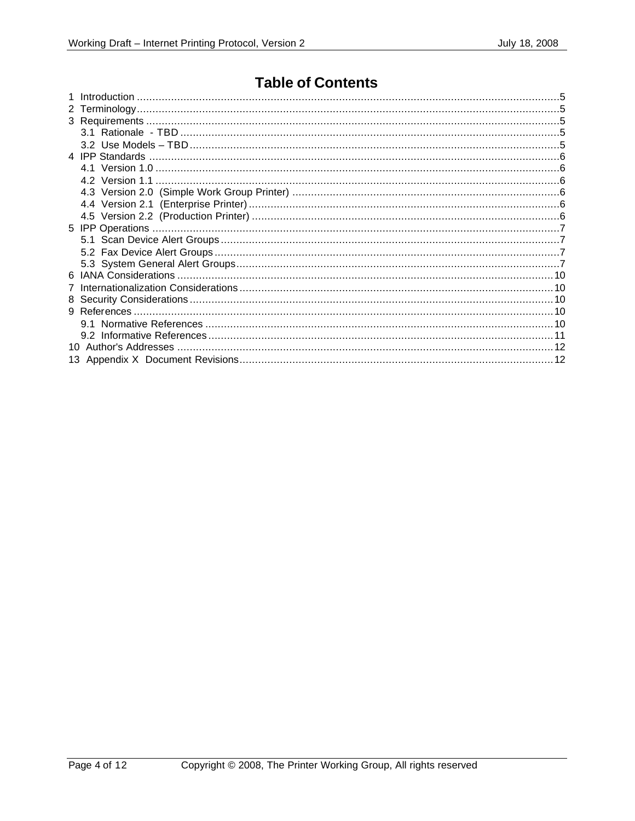## **Table of Contents**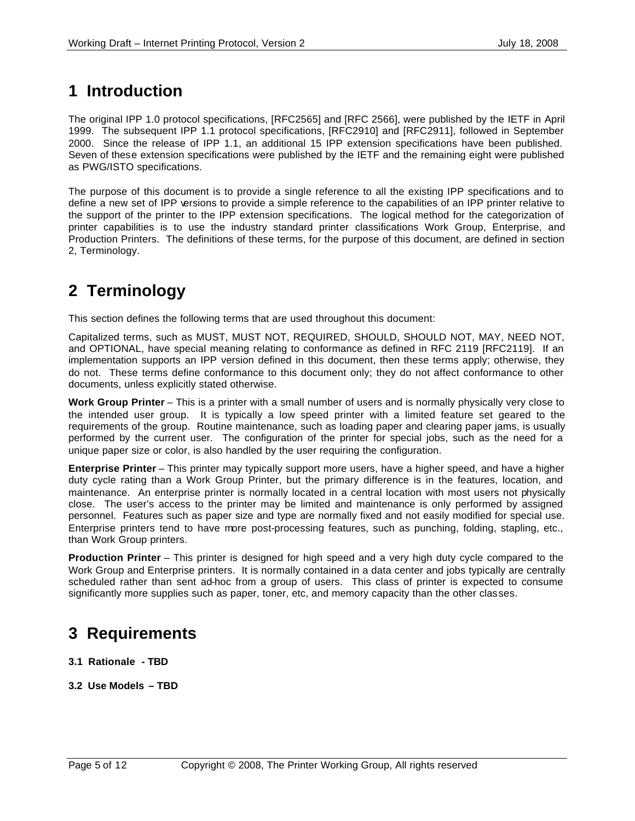## **1 Introduction**

The original IPP 1.0 protocol specifications, [RFC2565] and [RFC 2566], were published by the IETF in April 1999. The subsequent IPP 1.1 protocol specifications, [RFC2910] and [RFC2911], followed in September 2000. Since the release of IPP 1.1, an additional 15 IPP extension specifications have been published. Seven of these extension specifications were published by the IETF and the remaining eight were published as PWG/ISTO specifications.

The purpose of this document is to provide a single reference to all the existing IPP specifications and to define a new set of IPP versions to provide a simple reference to the capabilities of an IPP printer relative to the support of the printer to the IPP extension specifications. The logical method for the categorization of printer capabilities is to use the industry standard printer classifications Work Group, Enterprise, and Production Printers. The definitions of these terms, for the purpose of this document, are defined in section 2, Terminology.

## **2 Terminology**

This section defines the following terms that are used throughout this document:

Capitalized terms, such as MUST, MUST NOT, REQUIRED, SHOULD, SHOULD NOT, MAY, NEED NOT, and OPTIONAL, have special meaning relating to conformance as defined in RFC 2119 [RFC2119]. If an implementation supports an IPP version defined in this document, then these terms apply; otherwise, they do not. These terms define conformance to this document only; they do not affect conformance to other documents, unless explicitly stated otherwise.

**Work Group Printer** – This is a printer with a small number of users and is normally physically very close to the intended user group. It is typically a low speed printer with a limited feature set geared to the requirements of the group. Routine maintenance, such as loading paper and clearing paper jams, is usually performed by the current user. The configuration of the printer for special jobs, such as the need for a unique paper size or color, is also handled by the user requiring the configuration.

**Enterprise Printer** – This printer may typically support more users, have a higher speed, and have a higher duty cycle rating than a Work Group Printer, but the primary difference is in the features, location, and maintenance. An enterprise printer is normally located in a central location with most users not physically close. The user's access to the printer may be limited and maintenance is only performed by assigned personnel. Features such as paper size and type are normally fixed and not easily modified for special use. Enterprise printers tend to have more post-processing features, such as punching, folding, stapling, etc., than Work Group printers.

**Production Printer** – This printer is designed for high speed and a very high duty cycle compared to the Work Group and Enterprise printers. It is normally contained in a data center and jobs typically are centrally scheduled rather than sent ad-hoc from a group of users. This class of printer is expected to consume significantly more supplies such as paper, toner, etc, and memory capacity than the other classes.

## **3 Requirements**

- **3.1 Rationale TBD**
- **3.2 Use Models TBD**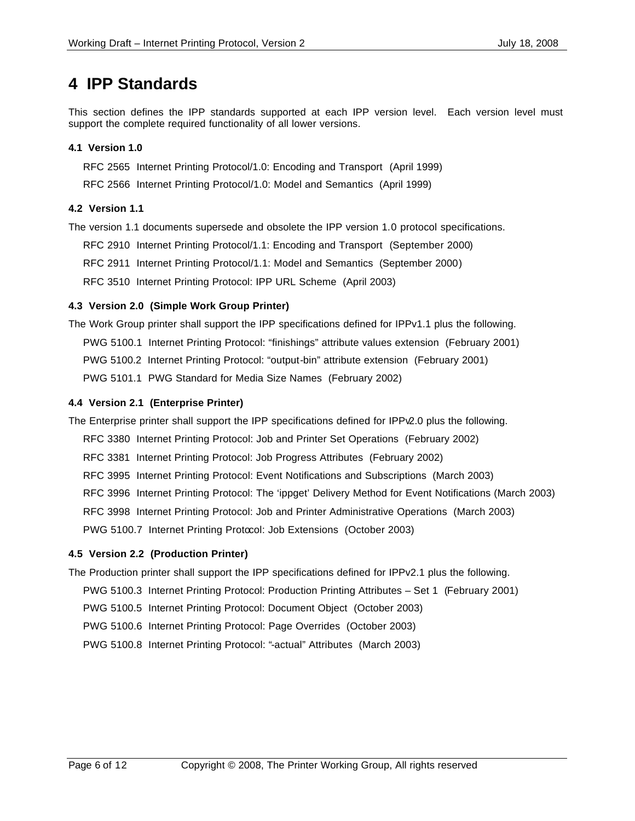## **4 IPP Standards**

This section defines the IPP standards supported at each IPP version level. Each version level must support the complete required functionality of all lower versions.

## **4.1 Version 1.0**

RFC 2565 Internet Printing Protocol/1.0: Encoding and Transport (April 1999)

RFC 2566 Internet Printing Protocol/1.0: Model and Semantics (April 1999)

## **4.2 Version 1.1**

The version 1.1 documents supersede and obsolete the IPP version 1.0 protocol specifications.

RFC 2910 Internet Printing Protocol/1.1: Encoding and Transport (September 2000)

RFC 2911 Internet Printing Protocol/1.1: Model and Semantics (September 2000)

RFC 3510 Internet Printing Protocol: IPP URL Scheme (April 2003)

## **4.3 Version 2.0 (Simple Work Group Printer)**

The Work Group printer shall support the IPP specifications defined for IPPv1.1 plus the following. PWG 5100.1 Internet Printing Protocol: "finishings" attribute values extension (February 2001) PWG 5100.2 Internet Printing Protocol: "output-bin" attribute extension (February 2001) PWG 5101.1 PWG Standard for Media Size Names (February 2002)

## **4.4 Version 2.1 (Enterprise Printer)**

The Enterprise printer shall support the IPP specifications defined for IPPv2.0 plus the following. RFC 3380 Internet Printing Protocol: Job and Printer Set Operations (February 2002)

- RFC 3381 Internet Printing Protocol: Job Progress Attributes (February 2002)
- RFC 3995 Internet Printing Protocol: Event Notifications and Subscriptions (March 2003)
- RFC 3996 Internet Printing Protocol: The 'ippget' Delivery Method for Event Notifications (March 2003)
- RFC 3998 Internet Printing Protocol: Job and Printer Administrative Operations (March 2003)

PWG 5100.7 Internet Printing Protocol: Job Extensions (October 2003)

## **4.5 Version 2.2 (Production Printer)**

The Production printer shall support the IPP specifications defined for IPPv2.1 plus the following.

PWG 5100.3 Internet Printing Protocol: Production Printing Attributes – Set 1 (February 2001)

PWG 5100.5 Internet Printing Protocol: Document Object (October 2003)

PWG 5100.6 Internet Printing Protocol: Page Overrides (October 2003)

PWG 5100.8 Internet Printing Protocol: "-actual" Attributes (March 2003)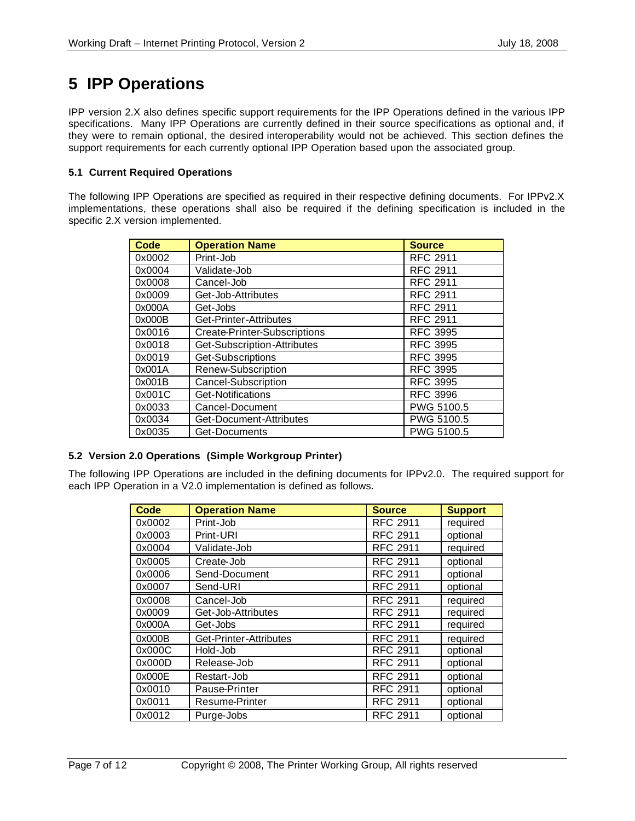## **5 IPP Operations**

IPP version 2.X also defines specific support requirements for the IPP Operations defined in the various IPP specifications. Many IPP Operations are currently defined in their source specifications as optional and, if they were to remain optional, the desired interoperability would not be achieved. This section defines the support requirements for each currently optional IPP Operation based upon the associated group.

## **5.1 Current Required Operations**

The following IPP Operations are specified as required in their respective defining documents. For IPPv2.X implementations, these operations shall also be required if the defining specification is included in the specific 2.X version implemented.

| <b>Code</b> | <b>Operation Name</b>        | <b>Source</b>   |
|-------------|------------------------------|-----------------|
| 0x0002      | Print-Job                    | <b>RFC 2911</b> |
| 0x0004      | Validate-Job                 | <b>RFC 2911</b> |
| 0x0008      | Cancel-Job                   | <b>RFC 2911</b> |
| 0x0009      | Get-Job-Attributes           | <b>RFC 2911</b> |
| 0x000A      | Get-Jobs                     | <b>RFC 2911</b> |
| 0x000B      | Get-Printer-Attributes       | <b>RFC 2911</b> |
| 0x0016      | Create-Printer-Subscriptions | <b>RFC 3995</b> |
| 0x0018      | Get-Subscription-Attributes  | <b>RFC 3995</b> |
| 0x0019      | Get-Subscriptions            | <b>RFC 3995</b> |
| 0x001A      | Renew-Subscription           | <b>RFC 3995</b> |
| 0x001B      | Cancel-Subscription          | <b>RFC 3995</b> |
| 0x001C      | Get-Notifications            | <b>RFC 3996</b> |
| 0x0033      | Cancel-Document              | PWG 5100.5      |
| 0x0034      | Get-Document-Attributes      | PWG 5100.5      |
| 0x0035      | Get-Documents                | PWG 5100.5      |

## **5.2 Version 2.0 Operations (Simple Workgroup Printer)**

The following IPP Operations are included in the defining documents for IPPv2.0. The required support for each IPP Operation in a V2.0 implementation is defined as follows.

| <b>Code</b> | <b>Operation Name</b>  | <b>Source</b>   | <b>Support</b> |
|-------------|------------------------|-----------------|----------------|
| 0x0002      | Print-Job              | <b>RFC 2911</b> | required       |
| 0x0003      | Print-URI              | <b>RFC 2911</b> | optional       |
| 0x0004      | Validate-Job           | <b>RFC 2911</b> | required       |
| 0x0005      | Create-Job             | <b>RFC 2911</b> | optional       |
| 0x0006      | Send-Document          | <b>RFC 2911</b> | optional       |
| 0x0007      | Send-URI               | <b>RFC 2911</b> | optional       |
| 0x0008      | Cancel-Job             | <b>RFC 2911</b> | required       |
| 0x0009      | Get-Job-Attributes     | <b>RFC 2911</b> | required       |
| 0x000A      | Get-Jobs               | <b>RFC 2911</b> | required       |
| 0x000B      | Get-Printer-Attributes | <b>RFC 2911</b> | required       |
| 0x000C      | Hold-Job               | <b>RFC 2911</b> | optional       |
| 0x000D      | Release-Job            | <b>RFC 2911</b> | optional       |
| 0x000E      | Restart-Job            | <b>RFC 2911</b> | optional       |
| 0x0010      | Pause-Printer          | <b>RFC 2911</b> | optional       |
| 0x0011      | Resume-Printer         | <b>RFC 2911</b> | optional       |
| 0x0012      | Purge-Jobs             | <b>RFC 2911</b> | optional       |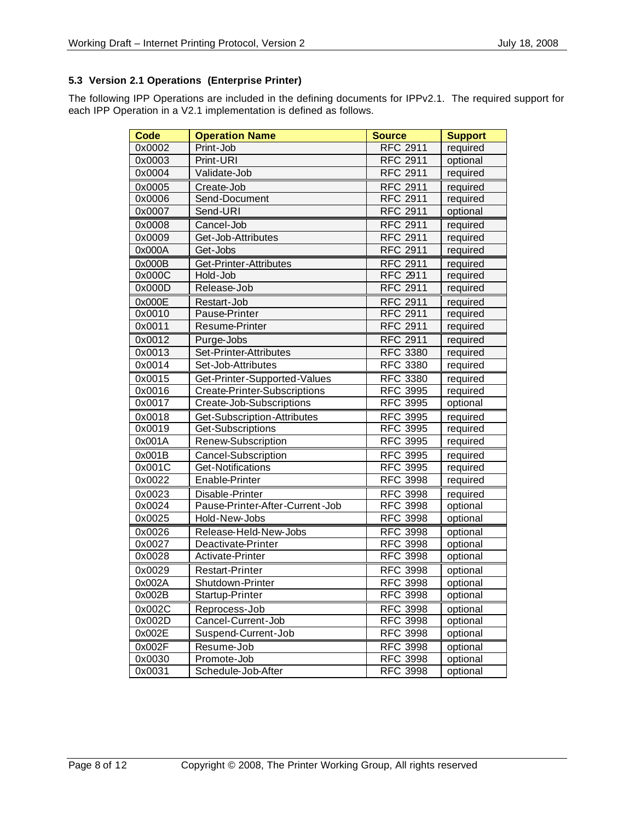## **5.3 Version 2.1 Operations (Enterprise Printer)**

The following IPP Operations are included in the defining documents for IPPv2.1. The required support for each IPP Operation in a V2.1 implementation is defined as follows.

| <b>Code</b> | <b>Operation Name</b>               | <b>Source</b>   | <b>Support</b> |
|-------------|-------------------------------------|-----------------|----------------|
| 0x0002      | Print-Job                           | <b>RFC 2911</b> | required       |
| 0x0003      | Print-URI                           | <b>RFC 2911</b> | optional       |
| 0x0004      | Validate-Job                        | <b>RFC 2911</b> | required       |
| 0x0005      | Create-Job                          | <b>RFC 2911</b> | required       |
| 0x0006      | Send-Document                       | <b>RFC 2911</b> | required       |
| 0x0007      | Send-URI                            | <b>RFC 2911</b> | optional       |
| 0x0008      | Cancel-Job                          | <b>RFC 2911</b> | required       |
| 0x0009      | Get-Job-Attributes                  | <b>RFC 2911</b> | required       |
| 0x000A      | Get-Jobs                            | <b>RFC 2911</b> | required       |
| 0x000B      | Get-Printer-Attributes              | <b>RFC 2911</b> | required       |
| 0x000C      | Hold-Job                            | <b>RFC 2911</b> | required       |
| 0x000D      | Release-Job                         | <b>RFC 2911</b> | required       |
| 0x000E      | Restart-Job                         | <b>RFC 2911</b> | required       |
| 0x0010      | Pause-Printer                       | <b>RFC 2911</b> | required       |
| 0x0011      | Resume-Printer                      | <b>RFC 2911</b> | required       |
| 0x0012      | Purge-Jobs                          | <b>RFC 2911</b> | required       |
| 0x0013      | Set-Printer-Attributes              | <b>RFC 3380</b> | required       |
| 0x0014      | Set-Job-Attributes                  | <b>RFC 3380</b> | required       |
| 0x0015      | Get-Printer-Supported-Values        | <b>RFC 3380</b> | required       |
| 0x0016      | <b>Create-Printer-Subscriptions</b> | <b>RFC 3995</b> | required       |
| 0x0017      | Create-Job-Subscriptions            | <b>RFC 3995</b> | optional       |
| 0x0018      | Get-Subscription-Attributes         | <b>RFC 3995</b> | required       |
| 0x0019      | Get-Subscriptions                   | <b>RFC 3995</b> | required       |
| 0x001A      | Renew-Subscription                  | <b>RFC 3995</b> | required       |
| 0x001B      | Cancel-Subscription                 | <b>RFC 3995</b> | required       |
| 0x001C      | Get-Notifications                   | <b>RFC 3995</b> | required       |
| 0x0022      | Enable-Printer                      | <b>RFC 3998</b> | required       |
| 0x0023      | Disable-Printer                     | <b>RFC 3998</b> | required       |
| 0x0024      | Pause-Printer-After-Current-Job     | <b>RFC 3998</b> | optional       |
| 0x0025      | Hold-New-Jobs                       | <b>RFC 3998</b> | optional       |
| 0x0026      | Release-Held-New-Jobs               | <b>RFC 3998</b> | optional       |
| 0x0027      | Deactivate-Printer                  | <b>RFC 3998</b> | optional       |
| 0x0028      | Activate-Printer                    | <b>RFC 3998</b> | optional       |
| 0x0029      | <b>Restart-Printer</b>              | <b>RFC 3998</b> | optional       |
| 0x002A      | Shutdown-Printer                    | <b>RFC 3998</b> | optional       |
| 0x002B      | Startup-Printer                     | <b>RFC 3998</b> | optional       |
| 0x002C      | Reprocess-Job                       | <b>RFC 3998</b> | optional       |
| 0x002D      | Cancel-Current-Job                  | <b>RFC 3998</b> | optional       |
| 0x002E      | Suspend-Current-Job                 | <b>RFC 3998</b> | optional       |
| 0x002F      | Resume-Job                          | <b>RFC 3998</b> | optional       |
| 0x0030      | Promote-Job                         | <b>RFC 3998</b> | optional       |
| 0x0031      | Schedule-Job-After                  | <b>RFC 3998</b> | optional       |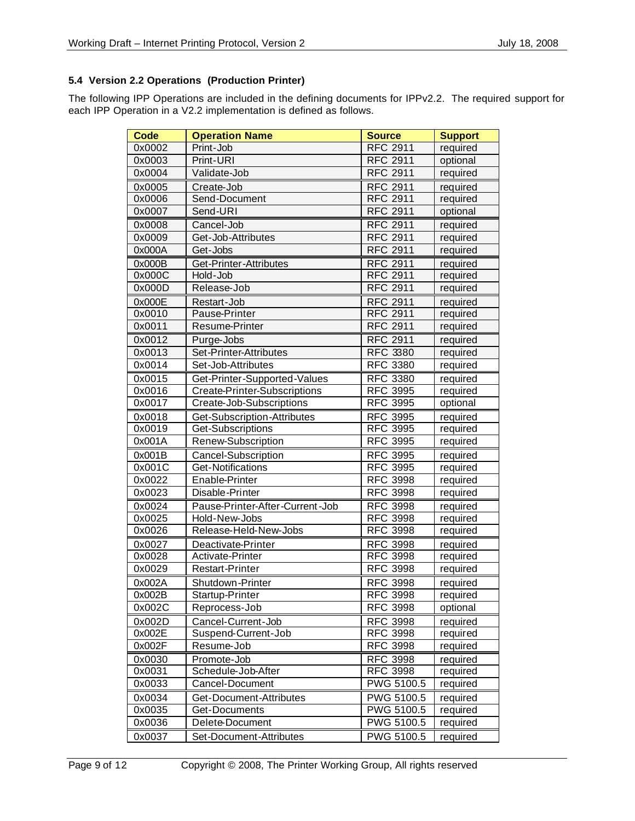## **5.4 Version 2.2 Operations (Production Printer)**

The following IPP Operations are included in the defining documents for IPPv2.2. The required support for each IPP Operation in a V2.2 implementation is defined as follows.

| <b>Code</b> | <b>Operation Name</b>           | <b>Source</b>   | <b>Support</b> |
|-------------|---------------------------------|-----------------|----------------|
| 0x0002      | Print-Job                       | <b>RFC 2911</b> | required       |
| 0x0003      | Print-URI                       | <b>RFC 2911</b> | optional       |
| 0x0004      | Validate-Job                    | <b>RFC 2911</b> | required       |
| 0x0005      | Create-Job                      | <b>RFC 2911</b> | required       |
| 0x0006      | Send-Document                   | <b>RFC 2911</b> | required       |
| 0x0007      | Send-URI                        | <b>RFC 2911</b> | optional       |
| 0x0008      | Cancel-Job                      | <b>RFC 2911</b> | required       |
| 0x0009      | Get-Job-Attributes              | <b>RFC 2911</b> | required       |
| 0x000A      | Get-Jobs                        | <b>RFC 2911</b> | required       |
| 0x000B      | Get-Printer-Attributes          | <b>RFC 2911</b> | required       |
| 0x000C      | Hold-Job                        | <b>RFC 2911</b> | required       |
| 0x000D      | Release-Job                     | <b>RFC 2911</b> | required       |
| 0x000E      | Restart-Job                     | <b>RFC 2911</b> | required       |
| 0x0010      | Pause-Printer                   | <b>RFC 2911</b> | required       |
| 0x0011      | Resume-Printer                  | <b>RFC 2911</b> | required       |
| 0x0012      | Purge-Jobs                      | <b>RFC 2911</b> | required       |
| 0x0013      | Set-Printer-Attributes          | <b>RFC 3380</b> | required       |
| 0x0014      | Set-Job-Attributes              | <b>RFC 3380</b> | required       |
| 0x0015      | Get-Printer-Supported-Values    | <b>RFC 3380</b> | required       |
| 0x0016      | Create-Printer-Subscriptions    | <b>RFC 3995</b> | required       |
| 0x0017      | Create-Job-Subscriptions        | <b>RFC 3995</b> | optional       |
| 0x0018      | Get-Subscription-Attributes     | <b>RFC 3995</b> | required       |
| 0x0019      | Get-Subscriptions               | <b>RFC 3995</b> | required       |
| 0x001A      | Renew-Subscription              | <b>RFC 3995</b> | required       |
| 0x001B      | Cancel-Subscription             | <b>RFC 3995</b> | required       |
| 0x001C      | Get-Notifications               | <b>RFC 3995</b> | required       |
| 0x0022      | Enable-Printer                  | <b>RFC 3998</b> | required       |
| 0x0023      | Disable-Printer                 | <b>RFC 3998</b> | required       |
| 0x0024      | Pause-Printer-After-Current-Job | <b>RFC 3998</b> | required       |
| 0x0025      | Hold-New-Jobs                   | <b>RFC 3998</b> | required       |
| 0x0026      | Release-Held-New-Jobs           | <b>RFC 3998</b> | required       |
| 0x0027      | Deactivate-Printer              | <b>RFC 3998</b> | required       |
| 0x0028      | Activate-Printer                | <b>RFC 3998</b> | required       |
| 0x0029      | <b>Restart-Printer</b>          | <b>RFC 3998</b> | required       |
| 0x002A      | Shutdown-Printer                | <b>RFC 3998</b> | required       |
| 0x002B      | Startup-Printer                 | RFC 3998        | required       |
| 0x002C      | Reprocess-Job                   | <b>RFC 3998</b> | optional       |
| 0x002D      | Cancel-Current-Job              | <b>RFC 3998</b> | required       |
| 0x002E      | Suspend-Current-Job             | <b>RFC 3998</b> | required       |
| 0x002F      | Resume-Job                      | <b>RFC 3998</b> | required       |
| 0x0030      | Promote-Job                     | <b>RFC 3998</b> | required       |
| 0x0031      | Schedule-Job-After              | <b>RFC 3998</b> | required       |
| 0x0033      | Cancel-Document                 | PWG 5100.5      | required       |
| 0x0034      | Get-Document-Attributes         | PWG 5100.5      | required       |
| 0x0035      | Get-Documents                   | PWG 5100.5      | required       |
| 0x0036      | Delete-Document                 | PWG 5100.5      | required       |
| 0x0037      | Set-Document-Attributes         | PWG 5100.5      | required       |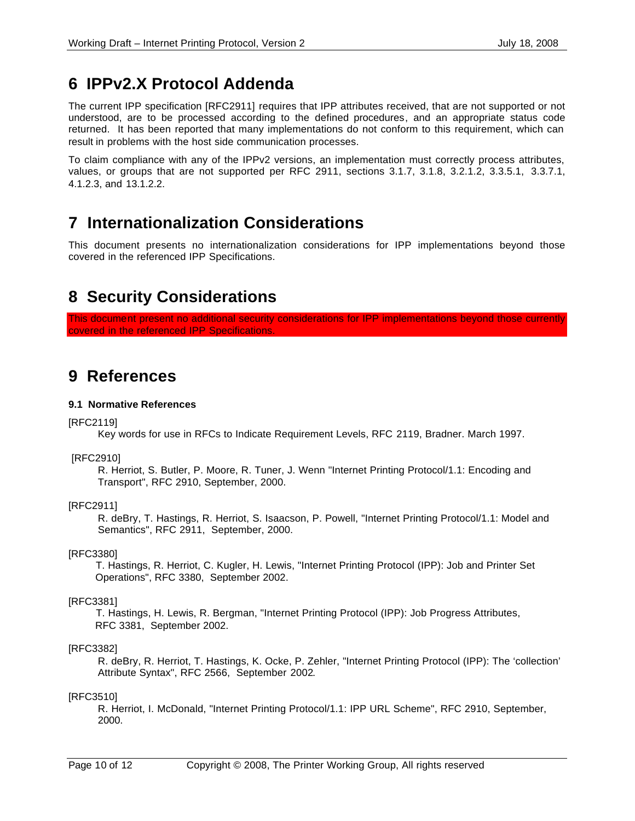## **6 IPPv2.X Protocol Addenda**

The current IPP specification [RFC2911] requires that IPP attributes received, that are not supported or not understood, are to be processed according to the defined procedures, and an appropriate status code returned. It has been reported that many implementations do not conform to this requirement, which can result in problems with the host side communication processes.

To claim compliance with any of the IPPv2 versions, an implementation must correctly process attributes, values, or groups that are not supported per RFC 2911, sections 3.1.7, 3.1.8, 3.2.1.2, 3.3.5.1, 3.3.7.1, 4.1.2.3, and 13.1.2.2.

## **7 Internationalization Considerations**

This document presents no internationalization considerations for IPP implementations beyond those covered in the referenced IPP Specifications.

## **8 Security Considerations**

This document present no additional security considerations for IPP implementations beyond those currently covered in the referenced IPP Specifications.

## **9 References**

## **9.1 Normative References**

## [RFC2119]

Key words for use in RFCs to Indicate Requirement Levels, RFC 2119, Bradner. March 1997.

## [RFC2910]

R. Herriot, S. Butler, P. Moore, R. Tuner, J. Wenn "Internet Printing Protocol/1.1: Encoding and Transport", RFC 2910, September, 2000.

## [RFC2911]

R. deBry, T. Hastings, R. Herriot, S. Isaacson, P. Powell, "Internet Printing Protocol/1.1: Model and Semantics", RFC 2911, September, 2000.

## [RFC3380]

 T. Hastings, R. Herriot, C. Kugler, H. Lewis, "Internet Printing Protocol (IPP): Job and Printer Set Operations", RFC 3380, September 2002.

## [RFC3381]

 T. Hastings, H. Lewis, R. Bergman, "Internet Printing Protocol (IPP): Job Progress Attributes, RFC 3381, September 2002.

## [RFC3382]

R. deBry, R. Herriot, T. Hastings, K. Ocke, P. Zehler, "Internet Printing Protocol (IPP): The 'collection' Attribute Syntax", RFC 2566, September 2002.

### [RFC3510]

R. Herriot, I. McDonald, "Internet Printing Protocol/1.1: IPP URL Scheme", RFC 2910, September, 2000.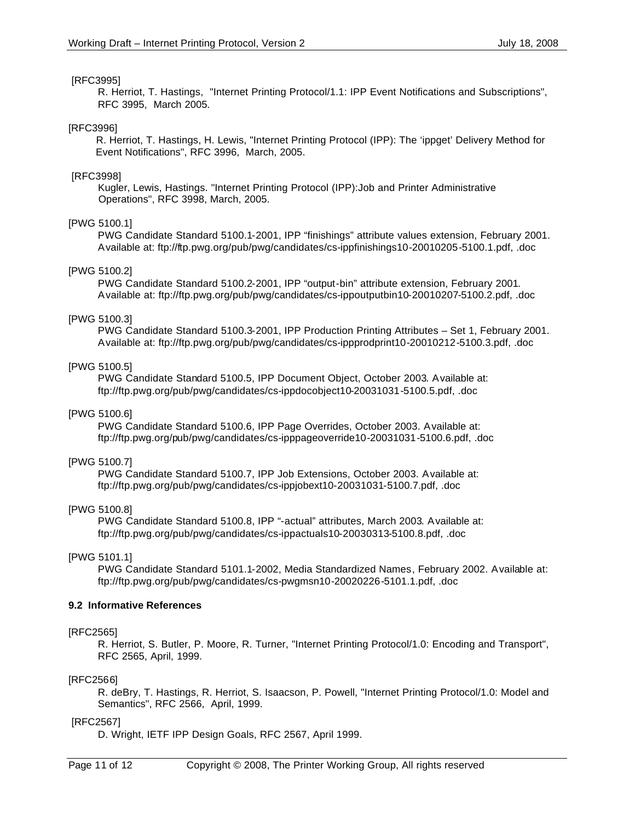### [RFC3995]

R. Herriot, T. Hastings, "Internet Printing Protocol/1.1: IPP Event Notifications and Subscriptions", RFC 3995, March 2005.

#### [RFC3996]

 R. Herriot, T. Hastings, H. Lewis, "Internet Printing Protocol (IPP): The 'ippget' Delivery Method for Event Notifications", RFC 3996, March, 2005.

#### [RFC3998]

 Kugler, Lewis, Hastings. "Internet Printing Protocol (IPP):Job and Printer Administrative Operations", RFC 3998, March, 2005.

### [PWG 5100.1]

PWG Candidate Standard 5100.1-2001, IPP "finishings" attribute values extension, February 2001. Available at: ftp://ftp.pwg.org/pub/pwg/candidates/cs-ippfinishings10-20010205-5100.1.pdf, .doc

#### [PWG 5100.2]

PWG Candidate Standard 5100.2-2001, IPP "output-bin" attribute extension, February 2001. Available at: ftp://ftp.pwg.org/pub/pwg/candidates/cs-ippoutputbin10-20010207-5100.2.pdf, .doc

#### [PWG 5100.3]

PWG Candidate Standard 5100.3-2001, IPP Production Printing Attributes – Set 1, February 2001. Available at: ftp://ftp.pwg.org/pub/pwg/candidates/cs-ippprodprint10-20010212-5100.3.pdf, .doc

### [PWG 5100.5]

PWG Candidate Standard 5100.5, IPP Document Object, October 2003. Available at: ftp://ftp.pwg.org/pub/pwg/candidates/cs-ippdocobject10-20031031-5100.5.pdf, .doc

### [PWG 5100.6]

PWG Candidate Standard 5100.6, IPP Page Overrides, October 2003. Available at: ftp://ftp.pwg.org/pub/pwg/candidates/cs-ipppageoverride10-20031031-5100.6.pdf, .doc

### [PWG 5100.7]

PWG Candidate Standard 5100.7, IPP Job Extensions, October 2003. Available at: ftp://ftp.pwg.org/pub/pwg/candidates/cs-ippjobext10-20031031-5100.7.pdf, .doc

#### [PWG 5100.8]

PWG Candidate Standard 5100.8, IPP "-actual" attributes, March 2003. Available at: ftp://ftp.pwg.org/pub/pwg/candidates/cs-ippactuals10-20030313-5100.8.pdf, .doc

### [PWG 5101.1]

PWG Candidate Standard 5101.1-2002, Media Standardized Names, February 2002. Available at: ftp://ftp.pwg.org/pub/pwg/candidates/cs-pwgmsn10-20020226-5101.1.pdf, .doc

### **9.2 Informative References**

#### [RFC2565]

R. Herriot, S. Butler, P. Moore, R. Turner, "Internet Printing Protocol/1.0: Encoding and Transport", RFC 2565, April, 1999.

#### [RFC2566]

R. deBry, T. Hastings, R. Herriot, S. Isaacson, P. Powell, "Internet Printing Protocol/1.0: Model and Semantics", RFC 2566, April, 1999.

### [RFC2567]

D. Wright, IETF IPP Design Goals, RFC 2567, April 1999.